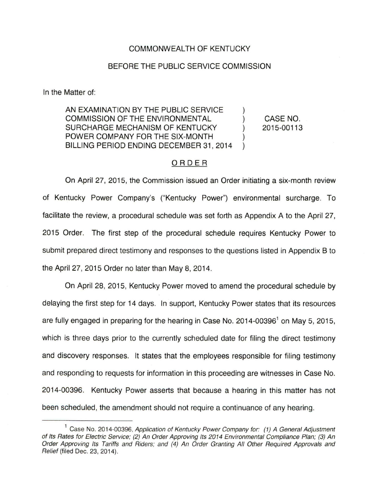### COMMONWEALTH OF KENTUCKY

### BEFORE THE PUBLIC SERVICE COMMISSION

In the Matter of:

AN EXAMINATION BY THE PUBLIC SERVICE COMMISSION OF THE ENVIRONMENTAL  $\mathcal{L}$ SURCHARGE MECHANISM OF KENTUCKY  $\mathcal{L}$ POWER COMPANY FOR THE SIX-MONTH BILLING PERIOD ENDING DECEMBER 31, 2014

CASE NO. 2015-00113

## ORDER

On April 27, 2015, the Commission issued an Order initiating a six-month review of Kentucky Power Company's ("Kentucky Power") environmental surcharge. To facilitate the review, a procedural schedule was set forth as Appendix A to the April 27, 2015 Order. The first step of the procedural schedule requires Kentucky Power to submit prepared direct testimony and responses to the questions listed in Appendix B to the April 27, 2015 Order no later than May 8, 2014.

On April 28, 2015, Kentucky Power moved to amend the procedural schedule by delaying the first step for 14 days. In support, Kentucky Power states that its resources are fully engaged in preparing for the hearing in Case No.  $2014-00396<sup>1</sup>$  on May 5, 2015, which is three days prior to the currently scheduled date for filing the direct testimony and discovery responses. It states that the employees responsible for filing testimony and responding to requests for information in this proceeding are witnesses in Case No. 2014-00396. Kentucky Power asserts that because a hearing in this matter has not been scheduled, the amendment should not require a continuance of any hearing.

<sup>&</sup>lt;sup>1</sup> Case No. 2014-00396, Application of Kentucky Power Company for: (1) A General Adjustment of Its Rates for Electric Service; (2) An Order Approving Its 2014 Environmental Compliance Plan; (3) An Order Approving Its Tariffs and Riders; and (4) An Order Granting All Other Required Approvals and Relief (filed Dec. 23, 2014).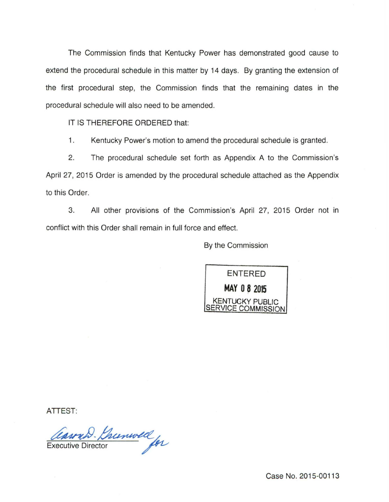The Commission finds that Kentucky Power has demonstrated good cause to extend the procedural schedule in this matter by 14 days. By granting the extension of the first procedural step, the Commission finds that the remaining dates in the procedural schedule will also need to be amended.

IT IS THEREFORE ORDERED that:

1. Kentucky Power's motion to amend the procedural schedule is granted.

2. The procedural schedule set forth as Appendix A to the Commission's April 27, 2015 Order is amended by the procedural schedule attached as the Appendix to this Order.

3. All other provisions of the Commission's April 27, 2015 Order not in conflict with this Order shall remain in full force and effect.

By the Commission



ATTEST:

Carry Brunwell

Case No. 2015-00113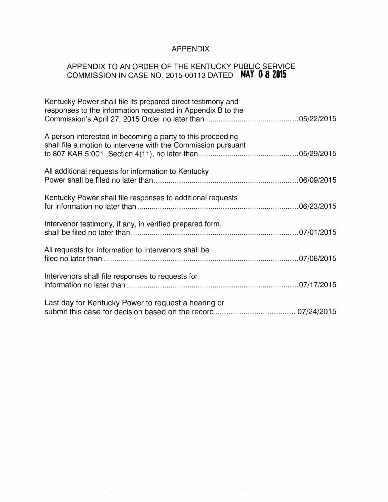# APPENDIX

# APPENDIX TO AN ORDER OF THE KENTUCKY PUBLIC SERVICE COMMISSION IN CASE NO. 2015-00113 DATED **MAY B 8 2015**

| Kentucky Power shall file its prepared direct testimony and<br>responses to the information requested in Appendix B to the  |
|-----------------------------------------------------------------------------------------------------------------------------|
| A person interested in becoming a party to this proceeding<br>shall file a motion to intervene with the Commission pursuant |
| All additional requests for information to Kentucky                                                                         |
| Kentucky Power shall file responses to additional requests                                                                  |
| Intervenor testimony, if any, in verified prepared form,                                                                    |
| All requests for information to Intervenors shall be                                                                        |
| Intervenors shall file responses to requests for                                                                            |
| Last day for Kentucky Power to request a hearing or                                                                         |